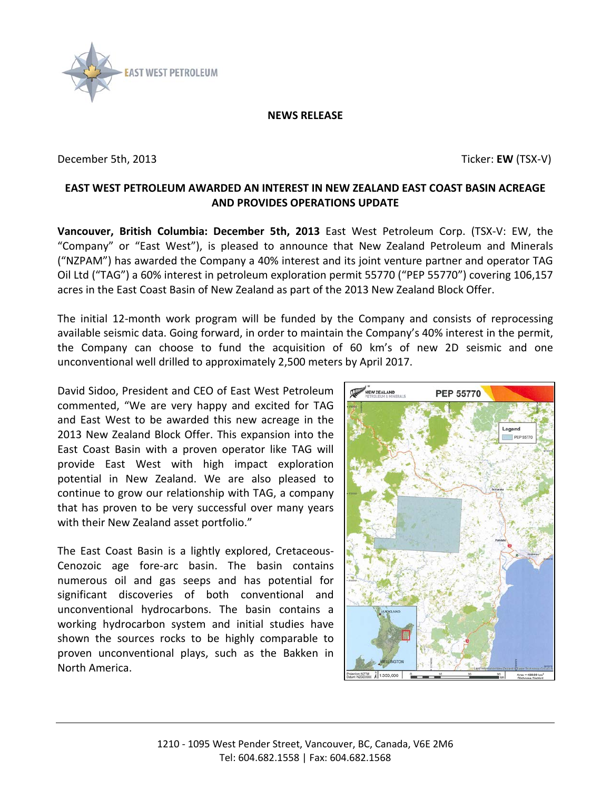

## **NEWS RELEASE**

December 5th, 2013 **December 5th, 2013** 

## **EAST WEST PETROLEUM AWARDED AN INTEREST IN NEW ZEALAND EAST COAST BASIN ACREAGE AND PROVIDES OPERATIONS UPDATE**

**Vancouver, British Columbia: December 5th, 2013** East West Petroleum Corp. (TSX-V: EW, the "Company" or "East West"), is pleased to announce that New Zealand Petroleum and Minerals ("NZPAM") has awarded the Company a 40% interest and its joint venture partner and operator TAG Oil Ltd ("TAG") a 60% interest in petroleum exploration permit 55770 ("PEP 55770") covering 106,157 acres in the East Coast Basin of New Zealand as part of the 2013 New Zealand Block Offer.

The initial 12-month work program will be funded by the Company and consists of reprocessing available seismic data. Going forward, in order to maintain the Company's 40% interest in the permit, the Company can choose to fund the acquisition of 60 km's of new 2D seismic and one unconventional well drilled to approximately 2,500 meters by April 2017.

David Sidoo, President and CEO of East West Petroleum commented, "We are very happy and excited for TAG and East West to be awarded this new acreage in the 2013 New Zealand Block Offer. This expansion into the East Coast Basin with a proven operator like TAG will provide East West with high impact exploration potential in New Zealand. We are also pleased to continue to grow our relationship with TAG, a company that has proven to be very successful over many years with their New Zealand asset portfolio."

The East Coast Basin is a lightly explored, Cretaceous-Cenozoic age fore-arc basin. The basin contains numerous oil and gas seeps and has potential for significant discoveries of both conventional and unconventional hydrocarbons. The basin contains a working hydrocarbon system and initial studies have shown the sources rocks to be highly comparable to proven unconventional plays, such as the Bakken in North America.

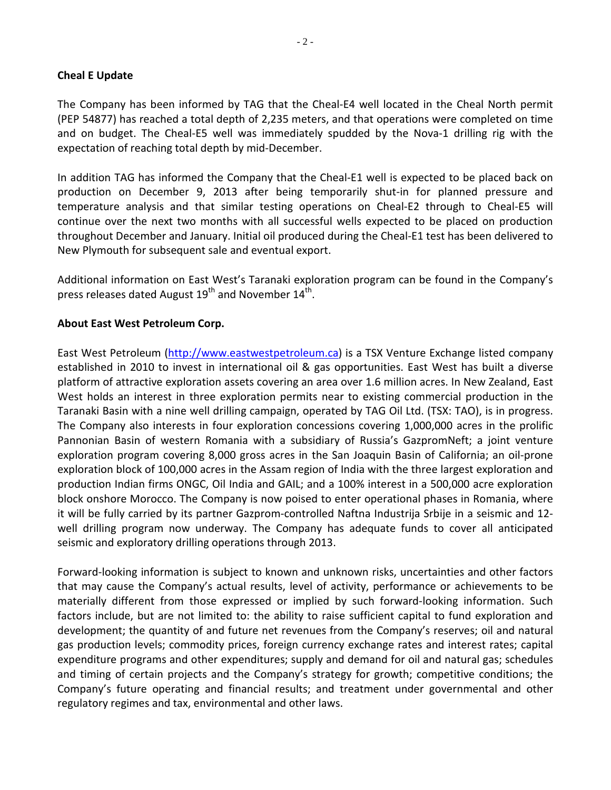## **Cheal E Update**

The Company has been informed by TAG that the Cheal-E4 well located in the Cheal North permit (PEP 54877) has reached a total depth of 2,235 meters, and that operations were completed on time and on budget. The Cheal-E5 well was immediately spudded by the Nova-1 drilling rig with the expectation of reaching total depth by mid-December.

In addition TAG has informed the Company that the Cheal-E1 well is expected to be placed back on production on December 9, 2013 after being temporarily shut-in for planned pressure and temperature analysis and that similar testing operations on Cheal-E2 through to Cheal-E5 will continue over the next two months with all successful wells expected to be placed on production throughout December and January. Initial oil produced during the Cheal-E1 test has been delivered to New Plymouth for subsequent sale and eventual export.

Additional information on East West's Taranaki exploration program can be found in the Company's press releases dated August  $19<sup>th</sup>$  and November  $14<sup>th</sup>$ .

## **About East West Petroleum Corp.**

East West Petroleum [\(http://www.eastwestpetroleum.ca\)](http://www.eastwestpetroleum.ca/) is a TSX Venture Exchange listed company established in 2010 to invest in international oil & gas opportunities. East West has built a diverse platform of attractive exploration assets covering an area over 1.6 million acres. In New Zealand, East West holds an interest in three exploration permits near to existing commercial production in the Taranaki Basin with a nine well drilling campaign, operated by TAG Oil Ltd. (TSX: TAO), is in progress. The Company also interests in four exploration concessions covering 1,000,000 acres in the prolific Pannonian Basin of western Romania with a subsidiary of Russia's GazpromNeft; a joint venture exploration program covering 8,000 gross acres in the San Joaquin Basin of California; an oil-prone exploration block of 100,000 acres in the Assam region of India with the three largest exploration and production Indian firms ONGC, Oil India and GAIL; and a 100% interest in a 500,000 acre exploration block onshore Morocco. The Company is now poised to enter operational phases in Romania, where it will be fully carried by its partner Gazprom-controlled Naftna Industrija Srbije in a seismic and 12 well drilling program now underway. The Company has adequate funds to cover all anticipated seismic and exploratory drilling operations through 2013.

Forward-looking information is subject to known and unknown risks, uncertainties and other factors that may cause the Company's actual results, level of activity, performance or achievements to be materially different from those expressed or implied by such forward-looking information. Such factors include, but are not limited to: the ability to raise sufficient capital to fund exploration and development; the quantity of and future net revenues from the Company's reserves; oil and natural gas production levels; commodity prices, foreign currency exchange rates and interest rates; capital expenditure programs and other expenditures; supply and demand for oil and natural gas; schedules and timing of certain projects and the Company's strategy for growth; competitive conditions; the Company's future operating and financial results; and treatment under governmental and other regulatory regimes and tax, environmental and other laws.